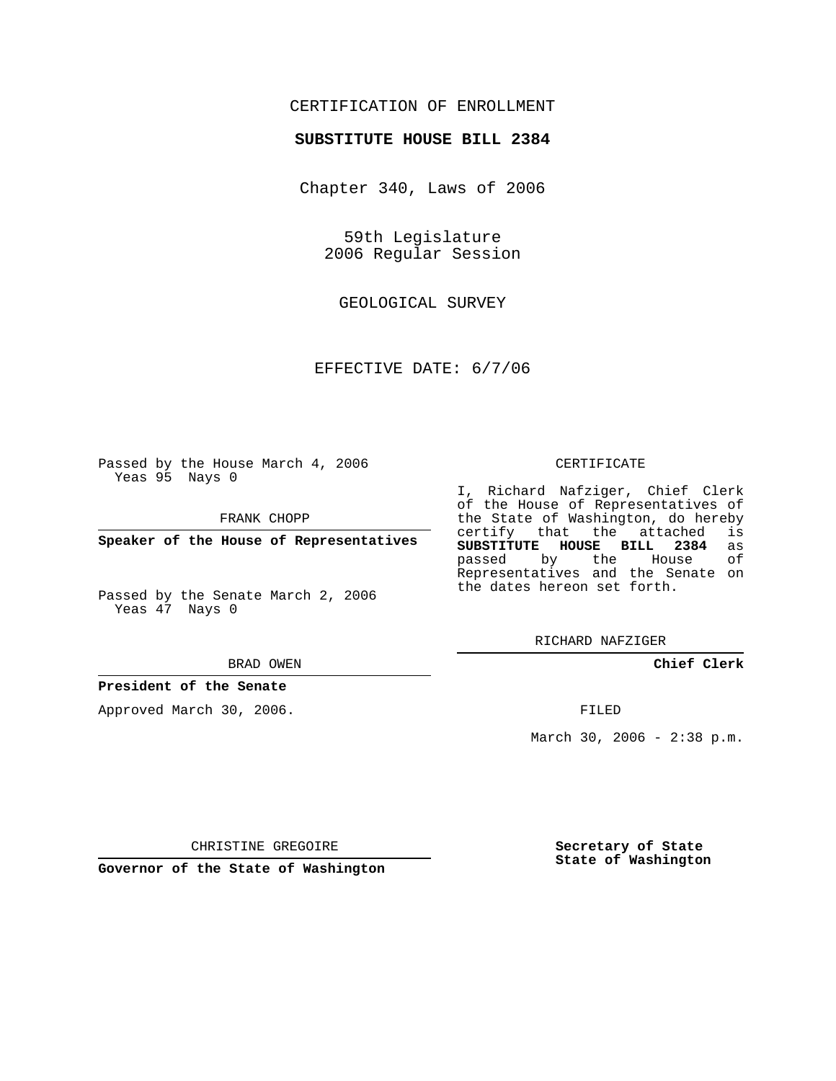# CERTIFICATION OF ENROLLMENT

## **SUBSTITUTE HOUSE BILL 2384**

Chapter 340, Laws of 2006

59th Legislature 2006 Regular Session

GEOLOGICAL SURVEY

EFFECTIVE DATE: 6/7/06

Passed by the House March 4, 2006 Yeas 95 Nays 0

FRANK CHOPP

**Speaker of the House of Representatives**

Passed by the Senate March 2, 2006 Yeas 47 Nays 0

#### BRAD OWEN

## **President of the Senate**

Approved March 30, 2006.

#### CERTIFICATE

I, Richard Nafziger, Chief Clerk of the House of Representatives of the State of Washington, do hereby<br>certify that the attached is certify that the attached **SUBSTITUTE HOUSE BILL 2384** as passed by the House Representatives and the Senate on the dates hereon set forth.

RICHARD NAFZIGER

**Chief Clerk**

FILED

March 30, 2006 - 2:38 p.m.

CHRISTINE GREGOIRE

**Governor of the State of Washington**

**Secretary of State State of Washington**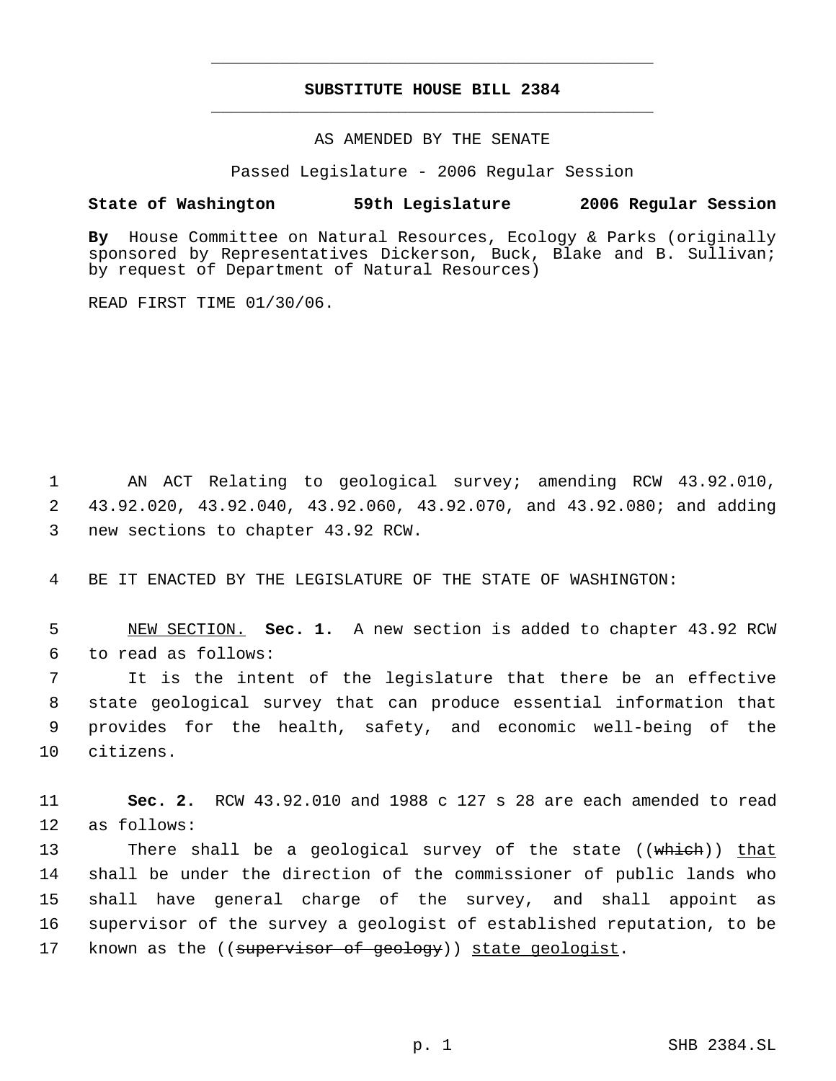# **SUBSTITUTE HOUSE BILL 2384** \_\_\_\_\_\_\_\_\_\_\_\_\_\_\_\_\_\_\_\_\_\_\_\_\_\_\_\_\_\_\_\_\_\_\_\_\_\_\_\_\_\_\_\_\_

\_\_\_\_\_\_\_\_\_\_\_\_\_\_\_\_\_\_\_\_\_\_\_\_\_\_\_\_\_\_\_\_\_\_\_\_\_\_\_\_\_\_\_\_\_

### AS AMENDED BY THE SENATE

Passed Legislature - 2006 Regular Session

## **State of Washington 59th Legislature 2006 Regular Session**

**By** House Committee on Natural Resources, Ecology & Parks (originally sponsored by Representatives Dickerson, Buck, Blake and B. Sullivan; by request of Department of Natural Resources)

READ FIRST TIME 01/30/06.

 1 AN ACT Relating to geological survey; amending RCW 43.92.010, 2 43.92.020, 43.92.040, 43.92.060, 43.92.070, and 43.92.080; and adding 3 new sections to chapter 43.92 RCW.

4 BE IT ENACTED BY THE LEGISLATURE OF THE STATE OF WASHINGTON:

 5 NEW SECTION. **Sec. 1.** A new section is added to chapter 43.92 RCW 6 to read as follows:

 It is the intent of the legislature that there be an effective state geological survey that can produce essential information that provides for the health, safety, and economic well-being of the citizens.

11 **Sec. 2.** RCW 43.92.010 and 1988 c 127 s 28 are each amended to read 12 as follows:

13 There shall be a geological survey of the state ((which)) that 14 shall be under the direction of the commissioner of public lands who 15 shall have general charge of the survey, and shall appoint as 16 supervisor of the survey a geologist of established reputation, to be 17 known as the ((supervisor of geology)) state geologist.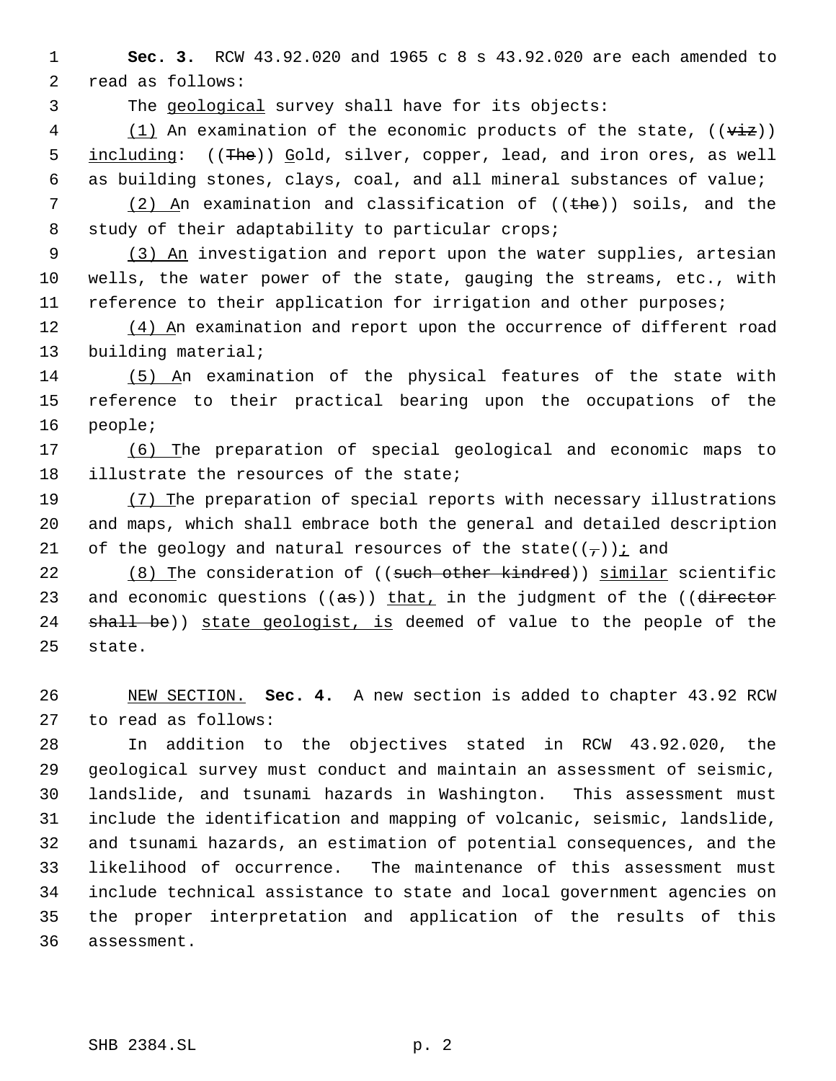**Sec. 3.** RCW 43.92.020 and 1965 c 8 s 43.92.020 are each amended to read as follows:

The geological survey shall have for its objects:

 $\frac{1}{1}$  An examination of the economic products of the state,  $(\overrightarrow{viz})$ 5 <u>including:</u> ((The)) Gold, silver, copper, lead, and iron ores, as well as building stones, clays, coal, and all mineral substances of value;

7 (2) An examination and classification of  $($  ( $t$ he)) soils, and the 8 study of their adaptability to particular crops;

9 (3) An investigation and report upon the water supplies, artesian wells, the water power of the state, gauging the streams, etc., with reference to their application for irrigation and other purposes;

12 (4) An examination and report upon the occurrence of different road building material;

 (5) An examination of the physical features of the state with reference to their practical bearing upon the occupations of the people;

 (6) The preparation of special geological and economic maps to illustrate the resources of the state;

19 (7) The preparation of special reports with necessary illustrations and maps, which shall embrace both the general and detailed description 21 of the geology and natural resources of the state( $(\tau)$ ) i and

22 (8) The consideration of ((such other kindred)) similar scientific 23 and economic questions  $((as))$  that, in the judgment of the  $((director$ 24 shall be)) state geologist, is deemed of value to the people of the state.

 NEW SECTION. **Sec. 4.** A new section is added to chapter 43.92 RCW to read as follows:

 In addition to the objectives stated in RCW 43.92.020, the geological survey must conduct and maintain an assessment of seismic, landslide, and tsunami hazards in Washington. This assessment must include the identification and mapping of volcanic, seismic, landslide, and tsunami hazards, an estimation of potential consequences, and the likelihood of occurrence. The maintenance of this assessment must include technical assistance to state and local government agencies on the proper interpretation and application of the results of this assessment.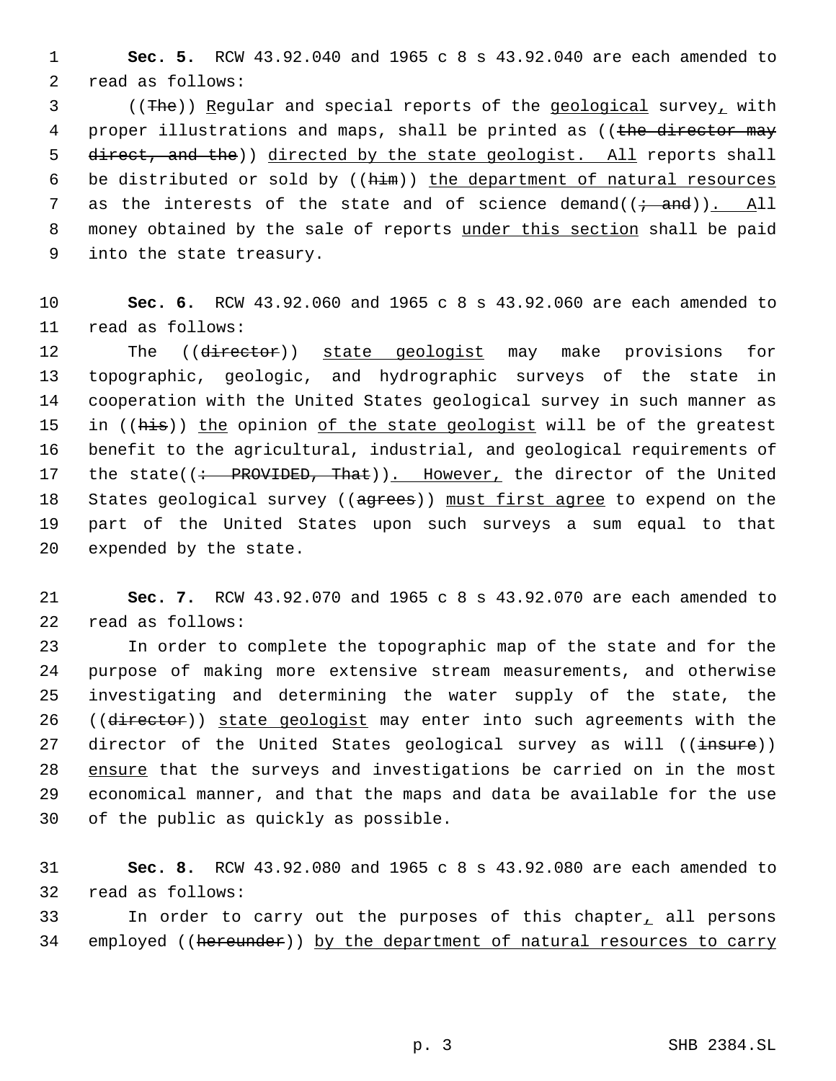1 **Sec. 5.** RCW 43.92.040 and 1965 c 8 s 43.92.040 are each amended to 2 read as follows:

 3 ((The)) Regular and special reports of the geological survey, with 4 proper illustrations and maps, shall be printed as ((the director may 5 direct, and the)) directed by the state geologist. All reports shall 6 be distributed or sold by ((him)) the department of natural resources 7 as the interests of the state and of science demand $((\div \text{ and}))$ . All 8 money obtained by the sale of reports under this section shall be paid 9 into the state treasury.

10 **Sec. 6.** RCW 43.92.060 and 1965 c 8 s 43.92.060 are each amended to 11 read as follows:

12 The ((director)) state geologist may make provisions for 13 topographic, geologic, and hydrographic surveys of the state in 14 cooperation with the United States geological survey in such manner as 15 in ((his)) the opinion of the state geologist will be of the greatest 16 benefit to the agricultural, industrial, and geological requirements of 17 the state((: PROVIDED, That)). However, the director of the United 18 States geological survey ((agrees)) must first agree to expend on the 19 part of the United States upon such surveys a sum equal to that 20 expended by the state.

21 **Sec. 7.** RCW 43.92.070 and 1965 c 8 s 43.92.070 are each amended to 22 read as follows:

 In order to complete the topographic map of the state and for the purpose of making more extensive stream measurements, and otherwise investigating and determining the water supply of the state, the 26 ((director)) state geologist may enter into such agreements with the 27 director of the United States geological survey as will  $((\text{insure}))$ 28 ensure that the surveys and investigations be carried on in the most economical manner, and that the maps and data be available for the use of the public as quickly as possible.

31 **Sec. 8.** RCW 43.92.080 and 1965 c 8 s 43.92.080 are each amended to 32 read as follows:

33 In order to carry out the purposes of this chapter, all persons 34 employed ((hereunder)) by the department of natural resources to carry